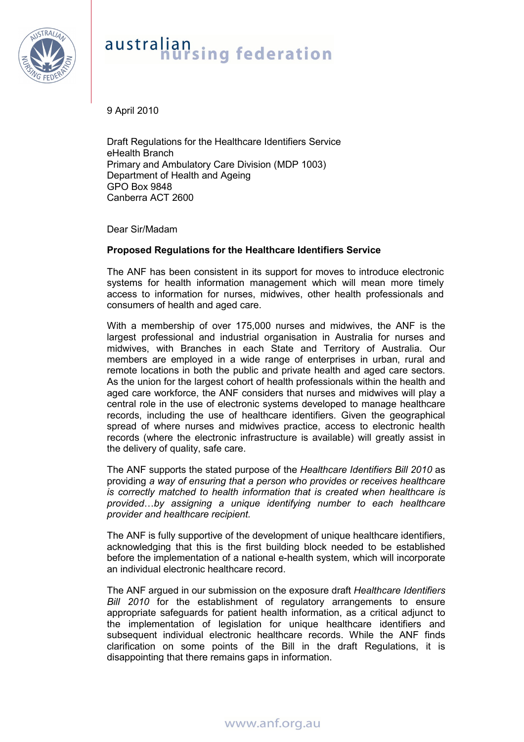

# australian<br>**hursing** federation

9 April 2010

Draft Regulations for the Healthcare Identifiers Service eHealth Branch Primary and Ambulatory Care Division (MDP 1003) Department of Health and Ageing GPO Box 9848 Canberra ACT 2600

Dear Sir/Madam

# **Proposed Regulations for the Healthcare Identifiers Service**

The ANF has been consistent in its support for moves to introduce electronic systems for health information management which will mean more timely access to information for nurses, midwives, other health professionals and consumers of health and aged care.

With a membership of over 175,000 nurses and midwives, the ANF is the largest professional and industrial organisation in Australia for nurses and midwives, with Branches in each State and Territory of Australia. Our members are employed in a wide range of enterprises in urban, rural and remote locations in both the public and private health and aged care sectors. As the union for the largest cohort of health professionals within the health and aged care workforce, the ANF considers that nurses and midwives will play a central role in the use of electronic systems developed to manage healthcare records, including the use of healthcare identifiers. Given the geographical spread of where nurses and midwives practice, access to electronic health records (where the electronic infrastructure is available) will greatly assist in the delivery of quality, safe care.

The ANF supports the stated purpose of the *Healthcare Identifiers Bill 2010* as providing *a way of ensuring that a person who provides or receives healthcare is correctly matched to health information that is created when healthcare is provided*…*by assigning a unique identifying number to each healthcare provider and healthcare recipient.* 

The ANF is fully supportive of the development of unique healthcare identifiers, acknowledging that this is the first building block needed to be established before the implementation of a national e-health system, which will incorporate an individual electronic healthcare record.

The ANF argued in our submission on the exposure draft *Healthcare Identifiers Bill 2010* for the establishment of regulatory arrangements to ensure appropriate safeguards for patient health information, as a critical adjunct to the implementation of legislation for unique healthcare identifiers and subsequent individual electronic healthcare records. While the ANF finds clarification on some points of the Bill in the draft Regulations, it is disappointing that there remains gaps in information.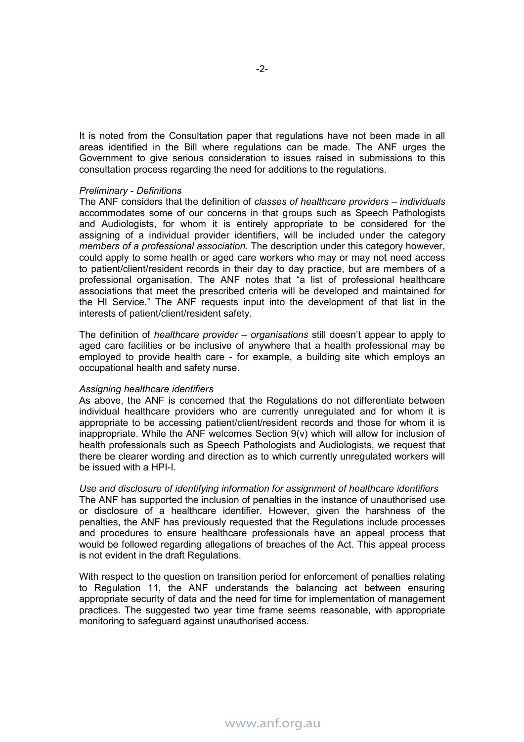It is noted from the Consultation paper that regulations have not been made in all areas identified in the Bill where regulations can be made. The ANF urges the Government to give serious consideration to issues raised in submissions to this consultation process regarding the need for additions to the regulations.

#### *Preliminary - Definitions*

The ANF considers that the definition of *classes of healthcare providers – individuals* accommodates some of our concerns in that groups such as Speech Pathologists and Audiologists, for whom it is entirely appropriate to be considered for the assigning of a individual provider identifiers, will be included under the category *members of a professional association.* The description under this category however, could apply to some health or aged care workers who may or may not need access to patient/client/resident records in their day to day practice, but are members of a professional organisation. The ANF notes that "a list of professional healthcare associations that meet the prescribed criteria will be developed and maintained for the HI Service." The ANF requests input into the development of that list in the interests of patient/client/resident safety.

The definition of *healthcare provider – organisations* still doesn't appear to apply to aged care facilities or be inclusive of anywhere that a health professional may be employed to provide health care - for example, a building site which employs an occupational health and safety nurse.

### *Assigning healthcare identifiers*

As above, the ANF is concerned that the Regulations do not differentiate between individual healthcare providers who are currently unregulated and for whom it is appropriate to be accessing patient/client/resident records and those for whom it is inappropriate. While the ANF welcomes Section 9(v) which will allow for inclusion of health professionals such as Speech Pathologists and Audiologists, we request that there be clearer wording and direction as to which currently unregulated workers will be issued with a HPI-I.

*Use and disclosure of identifying information for assignment of healthcare identifiers*  The ANF has supported the inclusion of penalties in the instance of unauthorised use or disclosure of a healthcare identifier. However, given the harshness of the penalties, the ANF has previously requested that the Regulations include processes and procedures to ensure healthcare professionals have an appeal process that would be followed regarding allegations of breaches of the Act. This appeal process is not evident in the draft Regulations.

With respect to the question on transition period for enforcement of penalties relating to Regulation 11, the ANF understands the balancing act between ensuring appropriate security of data and the need for time for implementation of management practices. The suggested two year time frame seems reasonable, with appropriate monitoring to safeguard against unauthorised access.